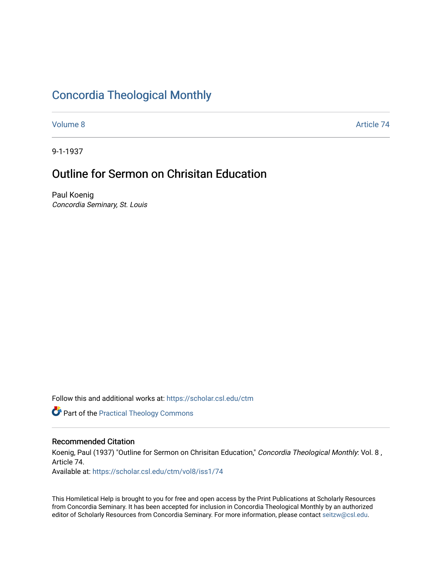# [Concordia Theological Monthly](https://scholar.csl.edu/ctm)

[Volume 8](https://scholar.csl.edu/ctm/vol8) Article 74

9-1-1937

# Outline for Sermon on Chrisitan Education

Paul Koenig Concordia Seminary, St. Louis

Follow this and additional works at: [https://scholar.csl.edu/ctm](https://scholar.csl.edu/ctm?utm_source=scholar.csl.edu%2Fctm%2Fvol8%2Fiss1%2F74&utm_medium=PDF&utm_campaign=PDFCoverPages)

**Part of the [Practical Theology Commons](http://network.bepress.com/hgg/discipline/1186?utm_source=scholar.csl.edu%2Fctm%2Fvol8%2Fiss1%2F74&utm_medium=PDF&utm_campaign=PDFCoverPages)** 

## Recommended Citation

Koenig, Paul (1937) "Outline for Sermon on Chrisitan Education," Concordia Theological Monthly: Vol. 8, Article 74.

Available at: [https://scholar.csl.edu/ctm/vol8/iss1/74](https://scholar.csl.edu/ctm/vol8/iss1/74?utm_source=scholar.csl.edu%2Fctm%2Fvol8%2Fiss1%2F74&utm_medium=PDF&utm_campaign=PDFCoverPages)

This Homiletical Help is brought to you for free and open access by the Print Publications at Scholarly Resources from Concordia Seminary. It has been accepted for inclusion in Concordia Theological Monthly by an authorized editor of Scholarly Resources from Concordia Seminary. For more information, please contact [seitzw@csl.edu](mailto:seitzw@csl.edu).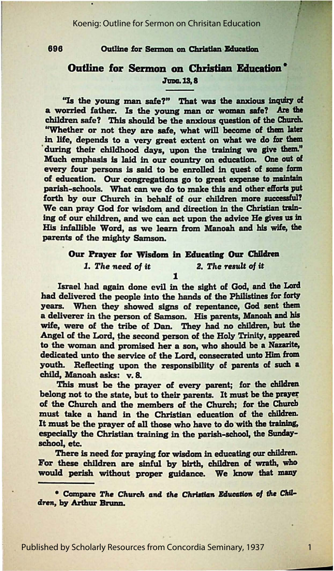#### Koenig: Outline for Sermon on Chrisitan Education

#### 696 Outline for Sermon on Christian Education

### **Outline for Sermon on Christian Education \*** June, 13, 8

"Is the young man safe?" That was the anxious inquiry of a worried father. Ia the young man or **woman safe? Are the**  children safe? This should be the anxious question of the Church. "Whether or not they are safe, what will become of **them later**  in life, depends to a very great extent on what we do for them during their childhood days, upon the training we give them." Much emphasis is laid in our country on education. One out of every four persons is said to be enrolled in quest of some form of education. Our congregations go to **great expense** to maintain parish-schools. What can we do to make this and other efforts put forth by our Church in behalf of our children more successful? We can pray God for wisdom and direction in the Christian training of our children, and we can act upon the advice He gives us in His infallible Word, as we learn from Manoah and his wife, the parents of the mighty Samson.

# Our Prayer for Wisdom in Educating Our Children 1. The need of it 2. The result of it

1

Israel had again done evil in the sight of God, and the Lord had delivered the people into the hands of the Philistines for forty years. When they showed signs of repentance, God sent them a deliverer in the person of Samson. His parents, Manoah and his wife, were of the tribe of Dan. They had no children, but the Angel of the Lord, the second person of the Holy Trinity, appeared to the woman and promised her a son, who should **be a** Nazarite, dedicated unto the service of the Lord, consecrated unto Him from youth. Reflecting upon the responsibility of parents of such a child, Manoah asks: v. 8.

This must be the prayer of every parent; for the children belong not to the state, but to their parents. It must be the prayer of the Church and the members of the Church; for the Church must take a hand in the Christian education of the children. It must be the prayer of all those who have to do with the training, especially the Christian training in the parish-school, the Sundayschool, etc.

There is need for praying for wisdom in educating our children. For these children are sinful by birth, children of wrath, who would perish without proper guidance. We know that many

<sup>\*</sup> Compare The Church and the Christian Education of the Children, by Arthur Brunn.

1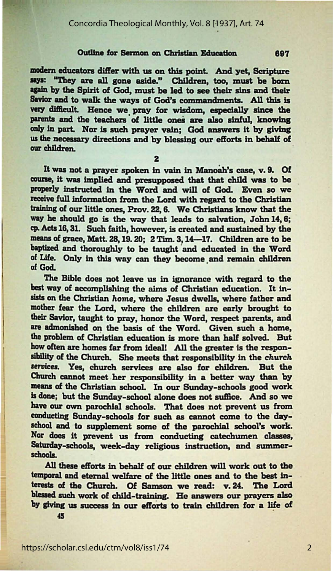#### Concordia Theological Monthly, Vol. 8 [1937], Art. 74

#### Outline for Sermon on Christian Education

modern educators differ with us on this point. And yet, Scripture says: "They are all gone aside." Children, too, must be born again by the Spirit of God, must be led to see their sins and their Savior and to walk the ways of God's commandments. All this is very difficult. Hence we pray for wisdom, especially since the parents and the teachers of little ones are also sinful. knowing only in part. Nor is such prayer vain; God answers it by giving us the necessary directions and by blessing our efforts in behalf of our children.

 $\overline{2}$ 

It was not a prayer spoken in vain in Manoah's case, v. 9. Of course, it was implied and presupposed that that child was to be properly instructed in the Word and will of God. Even so we receive full information from the Lord with regard to the Christian training of our little ones, Prov. 22, 6. We Christians know that the way he should go is the way that leads to salvation. John 14, 6; cp. Acts 16, 31. Such faith, however, is created and sustained by the means of grace, Matt. 28, 19. 20; 2 Tim. 3, 14-17. Children are to be baptized and thoroughly to be taught and educated in the Word of Life. Only in this way can they become and remain children of God.

The Bible does not leave us in ignorance with regard to the best way of accomplishing the aims of Christian education. It insists on the Christian home, where Jesus dwells, where father and mother fear the Lord, where the children are early brought to their Savior, taught to pray, honor the Word, respect parents, and are admonished on the basis of the Word. Given such a home, the problem of Christian education is more than half solved. But how often are homes far from ideal! All the greater is the responsibility of the Church. She meets that responsibility in the church services. Yes, church services are also for children. But the Church cannot meet her responsibility in a better way than by means of the Christian school. In our Sunday-schools good work is done; but the Sunday-school alone does not suffice. And so we have our own parochial schools. That does not prevent us from conducting Sunday-schools for such as cannot come to the dayschool and to supplement some of the parochial school's work. Nor does it prevent us from conducting catechumen classes, Saturday-schools, week-day religious instruction, and summerschools.

All these efforts in behalf of our children will work out to the temporal and eternal welfare of the little ones and to the best interests of the Church. Of Samson we read: v. 24. The Lord blessed such work of child-training. He answers our prayers also by giving us success in our efforts to train children for a life of

 $45$ 

697